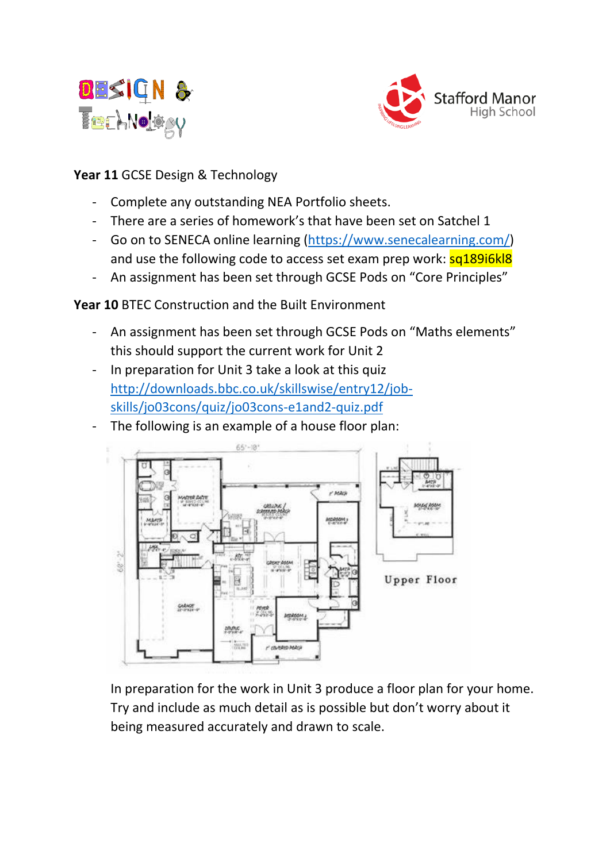



### **Year 11** GCSE Design & Technology

- Complete any outstanding NEA Portfolio sheets.
- There are a series of homework's that have been set on Satchel 1
- Go on to SENECA online learning [\(https://www.senecalearning.com/\)](https://www.senecalearning.com/) and use the following code to access set exam prep work:  $sq189i6k18$
- An assignment has been set through GCSE Pods on "Core Principles"

**Year 10** BTEC Construction and the Built Environment

- An assignment has been set through GCSE Pods on "Maths elements" this should support the current work for Unit 2
- In preparation for Unit 3 take a look at this quiz [http://downloads.bbc.co.uk/skillswise/entry12/job](http://downloads.bbc.co.uk/skillswise/entry12/job-skills/jo03cons/quiz/jo03cons-e1and2-quiz.pdf)[skills/jo03cons/quiz/jo03cons-e1and2-quiz.pdf](http://downloads.bbc.co.uk/skillswise/entry12/job-skills/jo03cons/quiz/jo03cons-e1and2-quiz.pdf)
- The following is an example of a house floor plan:



In preparation for the work in Unit 3 produce a floor plan for your home. Try and include as much detail as is possible but don't worry about it being measured accurately and drawn to scale.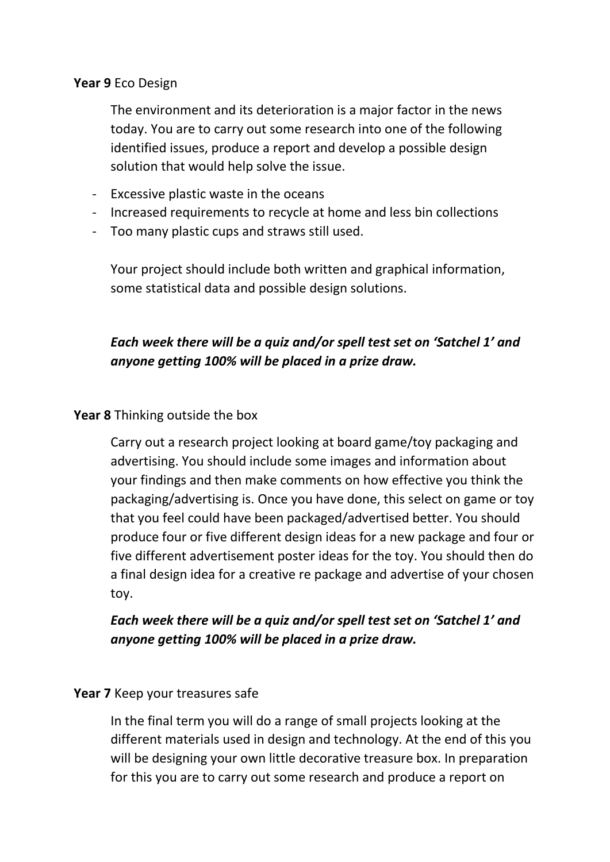#### **Year 9** Eco Design

The environment and its deterioration is a major factor in the news today. You are to carry out some research into one of the following identified issues, produce a report and develop a possible design solution that would help solve the issue.

- Excessive plastic waste in the oceans
- Increased requirements to recycle at home and less bin collections
- Too many plastic cups and straws still used.

Your project should include both written and graphical information, some statistical data and possible design solutions.

# *Each week there will be a quiz and/or spell test set on 'Satchel 1' and anyone getting 100% will be placed in a prize draw.*

### **Year 8** Thinking outside the box

Carry out a research project looking at board game/toy packaging and advertising. You should include some images and information about your findings and then make comments on how effective you think the packaging/advertising is. Once you have done, this select on game or toy that you feel could have been packaged/advertised better. You should produce four or five different design ideas for a new package and four or five different advertisement poster ideas for the toy. You should then do a final design idea for a creative re package and advertise of your chosen toy.

## *Each week there will be a quiz and/or spell test set on 'Satchel 1' and anyone getting 100% will be placed in a prize draw.*

### **Year 7** Keep your treasures safe

In the final term you will do a range of small projects looking at the different materials used in design and technology. At the end of this you will be designing your own little decorative treasure box. In preparation for this you are to carry out some research and produce a report on